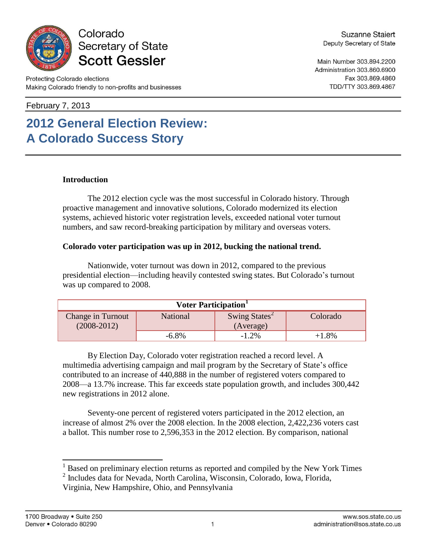

### Colorado Secretary of State **Scott Gessler**

Main Number 303.894.2200 Administration 303.860.6900 Fax 303.869.4860 TDD/TTY 303.869.4867

February 7, 2013

# **2012 General Election Review: A Colorado Success Story**

### **Introduction**

The 2012 election cycle was the most successful in Colorado history. Through proactive management and innovative solutions, Colorado modernized its election systems, achieved historic voter registration levels, exceeded national voter turnout numbers, and saw record-breaking participation by military and overseas voters.

### **Colorado voter participation was up in 2012, bucking the national trend.**

Nationwide, voter turnout was down in 2012, compared to the previous presidential election—including heavily contested swing states. But Colorado's turnout was up compared to 2008.

| Voter Participation <sup>1</sup>     |                 |                                        |          |
|--------------------------------------|-----------------|----------------------------------------|----------|
| Change in Turnout<br>$(2008 - 2012)$ | <b>National</b> | Swing States <sup>2</sup><br>(Average) | Colorado |
|                                      | $-6.8\%$        | $-1.2\%$                               | +1.8%    |

By Election Day, Colorado voter registration reached a record level. A multimedia advertising campaign and mail program by the Secretary of State's office contributed to an increase of 440,888 in the number of registered voters compared to 2008—a 13.7% increase. This far exceeds state population growth, and includes 300,442 new registrations in 2012 alone.

Seventy-one percent of registered voters participated in the 2012 election, an increase of almost 2% over the 2008 election. In the 2008 election, 2,422,236 voters cast a ballot. This number rose to 2,596,353 in the 2012 election. By comparison, national

 $<sup>1</sup>$  Based on preliminary election returns as reported and compiled by the New York Times</sup>

<sup>2</sup> Includes data for Nevada, North Carolina, Wisconsin, Colorado, Iowa, Florida,

Virginia, New Hampshire, Ohio, and Pennsylvania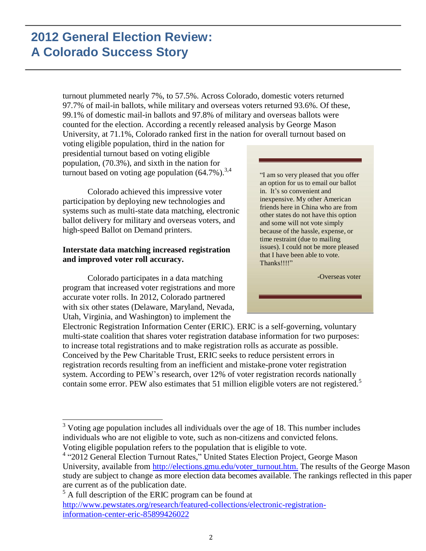turnout plummeted nearly 7%, to 57.5%. Across Colorado, domestic voters returned 97.7% of mail-in ballots, while military and overseas voters returned 93.6%. Of these, 99.1% of domestic mail-in ballots and 97.8% of military and overseas ballots were counted for the election. According a recently released analysis by George Mason University, at 71.1%, Colorado ranked first in the nation for overall turnout based on

voting eligible population, third in the nation for presidential turnout based on voting eligible population, (70.3%), and sixth in the nation for turnout based on voting age population  $(64.7\%)$ .<sup>3,4</sup>

Colorado achieved this impressive voter participation by deploying new technologies and systems such as multi-state data matching, electronic ballot delivery for military and overseas voters, and high-speed Ballot on Demand printers.

### **Interstate data matching increased registration and improved voter roll accuracy.**

Colorado participates in a data matching program that increased voter registrations and more accurate voter rolls. In 2012, Colorado partnered with six other states (Delaware, Maryland, Nevada, Utah, Virginia, and Washington) to implement the

"I am so very pleased that you offer an option for us to email our ballot in. It's so convenient and inexpensive. My other American friends here in China who are from other states do not have this option and some will not vote simply because of the hassle, expense, or time restraint (due to mailing issues). I could not be more pleased that I have been able to vote. Thanks!!!!"

-Overseas voter

Electronic Registration Information Center (ERIC). ERIC is a self-governing, voluntary multi-state coalition that shares voter registration database information for two purposes: to increase total registrations and to make registration rolls as accurate as possible. Conceived by the Pew Charitable Trust, ERIC seeks to reduce persistent errors in registration records resulting from an inefficient and mistake-prone voter registration system. According to PEW's research, over 12% of voter registration records nationally contain some error. PEW also estimates that 51 million eligible voters are not registered.<sup>5</sup>

<sup>3</sup> Voting age population includes all individuals over the age of 18. This number includes individuals who are not eligible to vote, such as non-citizens and convicted felons. Voting eligible population refers to the population that is eligible to vote.

<sup>4</sup> "2012 General Election Turnout Rates," United States Election Project, George Mason University, available from [http://elections.gmu.edu/voter\\_turnout.htm.](http://elections.gmu.edu/voter_turnout.htm) The results of the George Mason study are subject to change as more election data becomes available. The rankings reflected in this paper are current as of the publication date.

<sup>5</sup> A full description of the ERIC program can be found at [http://www.pewstates.org/research/featured-collections/electronic-registration](http://www.pewstates.org/research/featured-collections/electronic-registration-information-center-eric-85899426022)[information-center-eric-85899426022](http://www.pewstates.org/research/featured-collections/electronic-registration-information-center-eric-85899426022)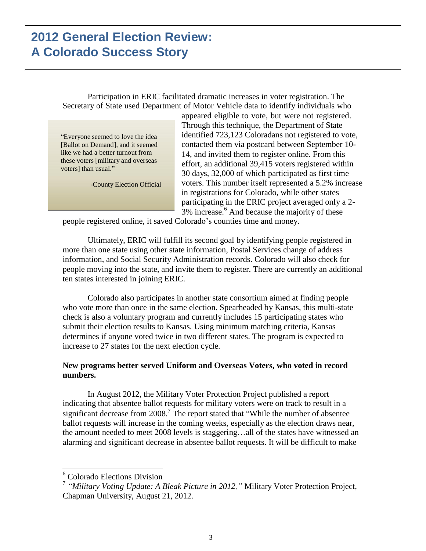Participation in ERIC facilitated dramatic increases in voter registration. The Secretary of State used Department of Motor Vehicle data to identify individuals who

"Everyone seemed to love the idea [Ballot on Demand], and it seemed like we had a better turnout from these voters [military and overseas voters] than usual."

-County Election Official

appeared eligible to vote, but were not registered. Through this technique, the Department of State identified 723,123 Coloradans not registered to vote, contacted them via postcard between September 10- 14, and invited them to register online. From this effort, an additional 39,415 voters registered within 30 days, 32,000 of which participated as first time voters. This number itself represented a 5.2% increase in registrations for Colorado, while other states participating in the ERIC project averaged only a 2- 3% increase. <sup>6</sup> And because the majority of these

people registered online, it saved Colorado's counties time and money.

Ultimately, ERIC will fulfill its second goal by identifying people registered in more than one state using other state information, Postal Services change of address information, and Social Security Administration records. Colorado will also check for people moving into the state, and invite them to register. There are currently an additional ten states interested in joining ERIC.

Colorado also participates in another state consortium aimed at finding people who vote more than once in the same election. Spearheaded by Kansas, this multi-state check is also a voluntary program and currently includes 15 participating states who submit their election results to Kansas. Using minimum matching criteria, Kansas determines if anyone voted twice in two different states. The program is expected to increase to 27 states for the next election cycle.

#### **New programs better served Uniform and Overseas Voters, who voted in record numbers.**

In August 2012, the Military Voter Protection Project published a report indicating that absentee ballot requests for military voters were on track to result in a significant decrease from  $2008$ .<sup>7</sup> The report stated that "While the number of absentee ballot requests will increase in the coming weeks, especially as the election draws near, the amount needed to meet 2008 levels is staggering…all of the states have witnessed an alarming and significant decrease in absentee ballot requests. It will be difficult to make

<sup>&</sup>lt;sup>6</sup> Colorado Elections Division

<sup>7</sup> *"Military Voting Update: A Bleak Picture in 2012,"* Military Voter Protection Project, Chapman University, August 21, 2012.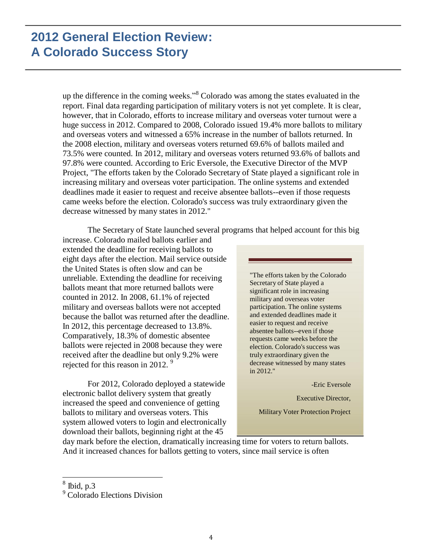up the difference in the coming weeks." <sup>8</sup> Colorado was among the states evaluated in the report. Final data regarding participation of military voters is not yet complete. It is clear, however, that in Colorado, efforts to increase military and overseas voter turnout were a huge success in 2012. Compared to 2008, Colorado issued 19.4% more ballots to military and overseas voters and witnessed a 65% increase in the number of ballots returned. In the 2008 election, military and overseas voters returned 69.6% of ballots mailed and 73.5% were counted. In 2012, military and overseas voters returned 93.6% of ballots and 97.8% were counted. According to Eric Eversole, the Executive Director of the MVP Project, "The efforts taken by the Colorado Secretary of State played a significant role in increasing military and overseas voter participation. The online systems and extended deadlines made it easier to request and receive absentee ballots--even if those requests came weeks before the election. Colorado's success was truly extraordinary given the decrease witnessed by many states in 2012."

The Secretary of State launched several programs that helped account for this big

increase. Colorado mailed ballots earlier and extended the deadline for receiving ballots to eight days after the election. Mail service outside the United States is often slow and can be unreliable. Extending the deadline for receiving ballots meant that more returned ballots were counted in 2012. In 2008, 61.1% of rejected military and overseas ballots were not accepted because the ballot was returned after the deadline. In 2012, this percentage decreased to 13.8%. Comparatively, 18.3% of domestic absentee ballots were rejected in 2008 because they were received after the deadline but only 9.2% were rejected for this reason in 2012.<sup>9</sup>

For 2012, Colorado deployed a statewide electronic ballot delivery system that greatly increased the speed and convenience of getting ballots to military and overseas voters. This system allowed voters to login and electronically download their ballots, beginning right at the 45

"The efforts taken by the Colorado Secretary of State played a significant role in increasing military and overseas voter participation. The online systems and extended deadlines made it easier to request and receive absentee ballots--even if those requests came weeks before the election. Colorado's success was truly extraordinary given the decrease witnessed by many states in 2012."

-Eric Eversole

Executive Director,

Military Voter Protection Project

day mark before the election, dramatically increasing time for voters to return ballots. And it increased chances for ballots getting to voters, since mail service is often

 $8$  Ibid, p.3

<sup>&</sup>lt;sup>9</sup> Colorado Elections Division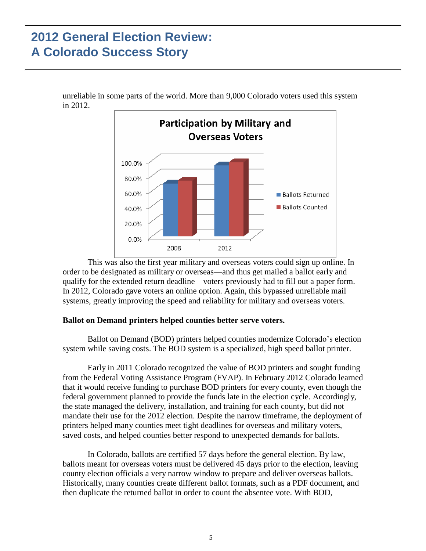unreliable in some parts of the world. More than 9,000 Colorado voters used this system in 2012.



This was also the first year military and overseas voters could sign up online. In order to be designated as military or overseas—and thus get mailed a ballot early and qualify for the extended return deadline—voters previously had to fill out a paper form. In 2012, Colorado gave voters an online option. Again, this bypassed unreliable mail systems, greatly improving the speed and reliability for military and overseas voters.

#### **Ballot on Demand printers helped counties better serve voters.**

Ballot on Demand (BOD) printers helped counties modernize Colorado's election system while saving costs. The BOD system is a specialized, high speed ballot printer.

Early in 2011 Colorado recognized the value of BOD printers and sought funding from the Federal Voting Assistance Program (FVAP). In February 2012 Colorado learned that it would receive funding to purchase BOD printers for every county, even though the federal government planned to provide the funds late in the election cycle. Accordingly, the state managed the delivery, installation, and training for each county, but did not mandate their use for the 2012 election. Despite the narrow timeframe, the deployment of printers helped many counties meet tight deadlines for overseas and military voters, saved costs, and helped counties better respond to unexpected demands for ballots.

In Colorado, ballots are certified 57 days before the general election. By law, ballots meant for overseas voters must be delivered 45 days prior to the election, leaving county election officials a very narrow window to prepare and deliver overseas ballots. Historically, many counties create different ballot formats, such as a PDF document, and then duplicate the returned ballot in order to count the absentee vote. With BOD,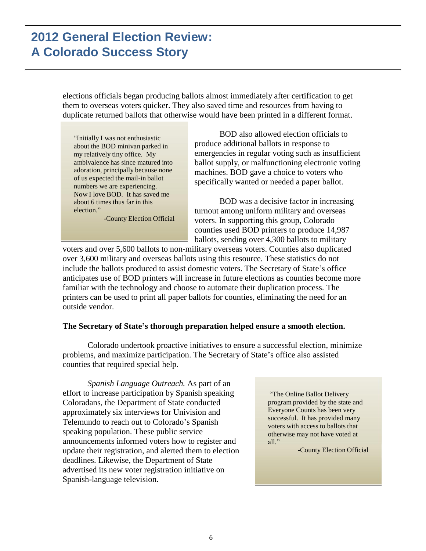elections officials began producing ballots almost immediately after certification to get them to overseas voters quicker. They also saved time and resources from having to duplicate returned ballots that otherwise would have been printed in a different format.

"Initially I was not enthusiastic about the BOD minivan parked in my relatively tiny office. My ambivalence has since matured into adoration, principally because none of us expected the mail-in ballot numbers we are experiencing. Now I love BOD. It has saved me about 6 times thus far in this election."

-County Election Official

BOD also allowed election officials to produce additional ballots in response to emergencies in regular voting such as insufficient ballot supply, or malfunctioning electronic voting machines. BOD gave a choice to voters who specifically wanted or needed a paper ballot.

BOD was a decisive factor in increasing turnout among uniform military and overseas voters. In supporting this group, Colorado counties used BOD printers to produce 14,987 ballots, sending over 4,300 ballots to military

voters and over 5,600 ballots to non-military overseas voters. Counties also duplicated over 3,600 military and overseas ballots using this resource. These statistics do not include the ballots produced to assist domestic voters. The Secretary of State's office anticipates use of BOD printers will increase in future elections as counties become more familiar with the technology and choose to automate their duplication process. The printers can be used to print all paper ballots for counties, eliminating the need for an outside vendor.

#### **The Secretary of State's thorough preparation helped ensure a smooth election.**

Colorado undertook proactive initiatives to ensure a successful election, minimize problems, and maximize participation. The Secretary of State's office also assisted counties that required special help.

*Spanish Language Outreach.* As part of an effort to increase participation by Spanish speaking Coloradans, the Department of State conducted approximately six interviews for Univision and Telemundo to reach out to Colorado's Spanish speaking population. These public service announcements informed voters how to register and update their registration, and alerted them to election deadlines. Likewise, the Department of State advertised its new voter registration initiative on Spanish-language television.

"The Online Ballot Delivery program provided by the state and Everyone Counts has been very successful. It has provided many voters with access to ballots that otherwise may not have voted at all."

-County Election Official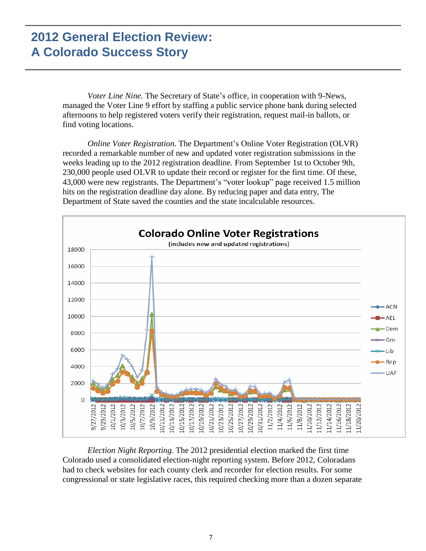*Voter Line Nine.* The Secretary of State's office, in cooperation with 9-News, managed the Voter Line 9 effort by staffing a public service phone bank during selected afternoons to help registered voters verify their registration, request mail-in ballots, or find voting locations.

*Online Voter Registration.* The Department's Online Voter Registration (OLVR) recorded a remarkable number of new and updated voter registration submissions in the weeks leading up to the 2012 registration deadline. From September 1st to October 9th, 230,000 people used OLVR to update their record or register for the first time. Of these, 43,000 were new registrants. The Department's "voter lookup" page received 1.5 million hits on the registration deadline day alone. By reducing paper and data entry, The Department of State saved the counties and the state incalculable resources.



*Election Night Reporting.* The 2012 presidential election marked the first time Colorado used a consolidated election-night reporting system. Before 2012, Coloradans had to check websites for each county clerk and recorder for election results. For some congressional or state legislative races, this required checking more than a dozen separate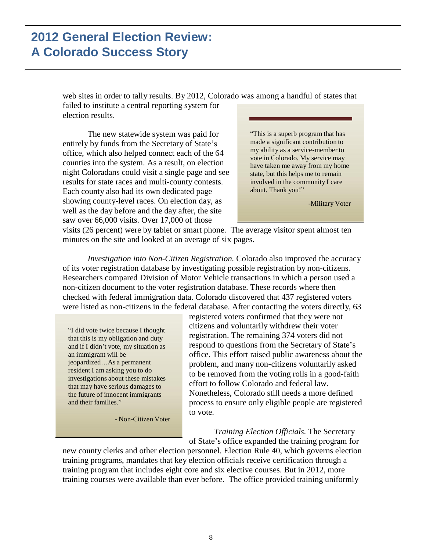web sites in order to tally results. By 2012, Colorado was among a handful of states that failed to institute a central reporting system for election results.

The new statewide system was paid for entirely by funds from the Secretary of State's office, which also helped connect each of the 64 counties into the system. As a result, on election night Coloradans could visit a single page and see results for state races and multi-county contests. Each county also had its own dedicated page showing county-level races. On election day, as well as the day before and the day after, the site saw over 66,000 visits. Over 17,000 of those

"This is a superb program that has made a significant contribution to my ability as a service-member to vote in Colorado. My service may have taken me away from my home state, but this helps me to remain involved in the community I care about. Thank you!"

-Military Voter

visits (26 percent) were by tablet or smart phone. The average visitor spent almost ten minutes on the site and looked at an average of six pages.

*Investigation into Non-Citizen Registration.* Colorado also improved the accuracy of its voter registration database by investigating possible registration by non-citizens. Researchers compared Division of Motor Vehicle transactions in which a person used a non-citizen document to the voter registration database. These records where then checked with federal immigration data. Colorado discovered that 437 registered voters were listed as non-citizens in the federal database. After contacting the voters directly, 63

"I did vote twice because I thought that this is my obligation and duty and if I didn't vote, my situation as an immigrant will be jeopardized…As a permanent resident I am asking you to do investigations about these mistakes that may have serious damages to the future of innocent immigrants and their families."

- Non-Citizen Voter

registered voters confirmed that they were not citizens and voluntarily withdrew their voter registration. The remaining 374 voters did not respond to questions from the Secretary of State's office. This effort raised public awareness about the problem, and many non-citizens voluntarily asked to be removed from the voting rolls in a good-faith effort to follow Colorado and federal law. Nonetheless, Colorado still needs a more defined process to ensure only eligible people are registered to vote.

*Training Election Officials.* The Secretary of State's office expanded the training program for

new county clerks and other election personnel. Election Rule 40, which governs election training programs, mandates that key election officials receive certification through a training program that includes eight core and six elective courses. But in 2012, more training courses were available than ever before. The office provided training uniformly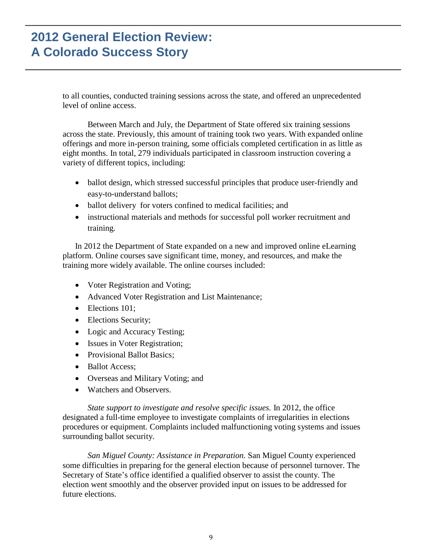to all counties, conducted training sessions across the state, and offered an unprecedented level of online access.

Between March and July, the Department of State offered six training sessions across the state. Previously, this amount of training took two years. With expanded online offerings and more in-person training, some officials completed certification in as little as eight months. In total, 279 individuals participated in classroom instruction covering a variety of different topics, including:

- ballot design, which stressed successful principles that produce user-friendly and easy-to-understand ballots;
- ballot delivery for voters confined to medical facilities; and
- instructional materials and methods for successful poll worker recruitment and training.

In 2012 the Department of State expanded on a new and improved online eLearning platform. Online courses save significant time, money, and resources, and make the training more widely available. The online courses included:

- Voter Registration and Voting;
- Advanced Voter Registration and List Maintenance;
- Elections 101:
- Elections Security;
- Logic and Accuracy Testing;
- Issues in Voter Registration;
- Provisional Ballot Basics;
- Ballot Access;
- Overseas and Military Voting; and
- Watchers and Observers.

*State support to investigate and resolve specific issues.* In 2012, the office designated a full-time employee to investigate complaints of irregularities in elections procedures or equipment. Complaints included malfunctioning voting systems and issues surrounding ballot security.

*San Miguel County: Assistance in Preparation.* San Miguel County experienced some difficulties in preparing for the general election because of personnel turnover. The Secretary of State's office identified a qualified observer to assist the county. The election went smoothly and the observer provided input on issues to be addressed for future elections.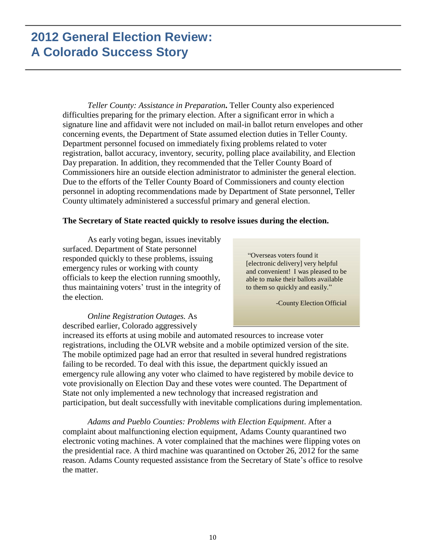*Teller County: Assistance in Preparation***.** Teller County also experienced difficulties preparing for the primary election. After a significant error in which a signature line and affidavit were not included on mail-in ballot return envelopes and other concerning events, the Department of State assumed election duties in Teller County. Department personnel focused on immediately fixing problems related to voter registration, ballot accuracy, inventory, security, polling place availability, and Election Day preparation. In addition, they recommended that the Teller County Board of Commissioners hire an outside election administrator to administer the general election. Due to the efforts of the Teller County Board of Commissioners and county election personnel in adopting recommendations made by Department of State personnel, Teller County ultimately administered a successful primary and general election.

#### **The Secretary of State reacted quickly to resolve issues during the election.**

As early voting began, issues inevitably surfaced. Department of State personnel responded quickly to these problems, issuing emergency rules or working with county officials to keep the election running smoothly, thus maintaining voters' trust in the integrity of the election.

"Overseas voters found it [electronic delivery] very helpful and convenient! I was pleased to be able to make their ballots available to them so quickly and easily."

-County Election Official

#### *Online Registration Outages.* As described earlier, Colorado aggressively

increased its efforts at using mobile and automated resources to increase voter registrations, including the OLVR website and a mobile optimized version of the site. The mobile optimized page had an error that resulted in several hundred registrations failing to be recorded. To deal with this issue, the department quickly issued an emergency rule allowing any voter who claimed to have registered by mobile device to vote provisionally on Election Day and these votes were counted. The Department of State not only implemented a new technology that increased registration and participation, but dealt successfully with inevitable complications during implementation.

*Adams and Pueblo Counties: Problems with Election Equipment*. After a complaint about malfunctioning election equipment, Adams County quarantined two electronic voting machines. A voter complained that the machines were flipping votes on the presidential race. A third machine was quarantined on October 26, 2012 for the same reason. Adams County requested assistance from the Secretary of State's office to resolve the matter.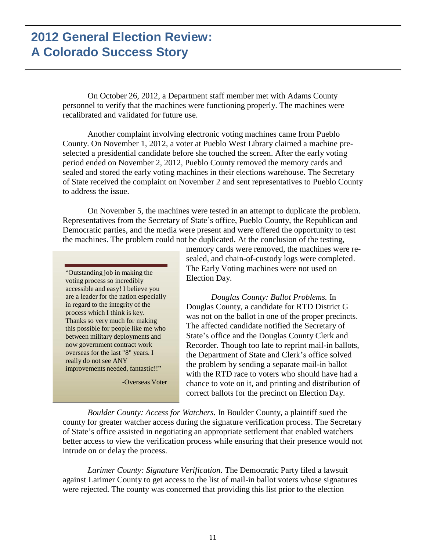On October 26, 2012, a Department staff member met with Adams County personnel to verify that the machines were functioning properly. The machines were recalibrated and validated for future use.

Another complaint involving electronic voting machines came from Pueblo County. On November 1, 2012, a voter at Pueblo West Library claimed a machine preselected a presidential candidate before she touched the screen. After the early voting period ended on November 2, 2012, Pueblo County removed the memory cards and sealed and stored the early voting machines in their elections warehouse. The Secretary of State received the complaint on November 2 and sent representatives to Pueblo County to address the issue.

On November 5, the machines were tested in an attempt to duplicate the problem. Representatives from the Secretary of State's office, Pueblo County, the Republican and Democratic parties, and the media were present and were offered the opportunity to test the machines. The problem could not be duplicated. At the conclusion of the testing,

"Outstanding job in making the voting process so incredibly accessible and easy! I believe you are a leader for the nation especially in regard to the integrity of the process which I think is key. Thanks so very much for making this possible for people like me who between military deployments and now government contract work overseas for the last "8" years. I really do not see ANY improvements needed, fantastic!!"

-Overseas Voter

memory cards were removed, the machines were resealed, and chain-of-custody logs were completed. The Early Voting machines were not used on Election Day.

*Douglas County: Ballot Problems.* In Douglas County, a candidate for RTD District G was not on the ballot in one of the proper precincts. The affected candidate notified the Secretary of State's office and the Douglas County Clerk and Recorder. Though too late to reprint mail-in ballots, the Department of State and Clerk's office solved the problem by sending a separate mail-in ballot with the RTD race to voters who should have had a chance to vote on it, and printing and distribution of correct ballots for the precinct on Election Day.

*Boulder County: Access for Watchers.* In Boulder County, a plaintiff sued the county for greater watcher access during the signature verification process. The Secretary of State's office assisted in negotiating an appropriate settlement that enabled watchers better access to view the verification process while ensuring that their presence would not intrude on or delay the process.

*Larimer County: Signature Verification.* The Democratic Party filed a lawsuit against Larimer County to get access to the list of mail-in ballot voters whose signatures were rejected. The county was concerned that providing this list prior to the election